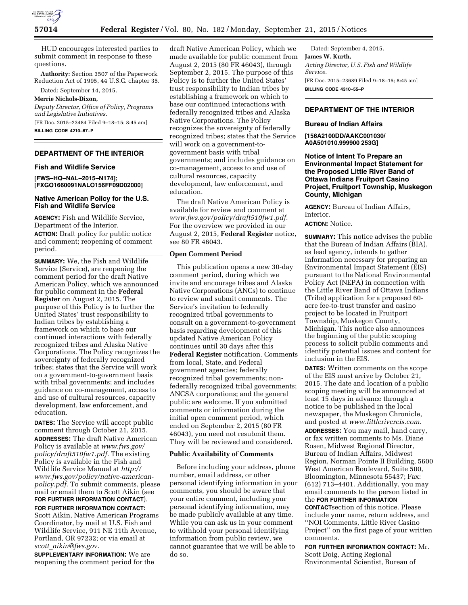

HUD encourages interested parties to submit comment in response to these questions.

**Authority:** Section 3507 of the Paperwork Reduction Act of 1995, 44 U.S.C. chapter 35.

Dated: September 14, 2015.

# **Merrie Nichols-Dixon,**

*Deputy Director, Office of Policy, Programs and Legislative Initiatives.* 

[FR Doc. 2015–23484 Filed 9–18–15; 8:45 am] **BILLING CODE 4210–67–P** 

## **DEPARTMENT OF THE INTERIOR**

### **Fish and Wildlife Service**

**[FWS–HQ–NAL–2015–N174]; [FXGO1660091NALO156FF09D02000]** 

#### **Native American Policy for the U.S. Fish and Wildlife Service**

**AGENCY:** Fish and Wildlife Service, Department of the Interior. **ACTION:** Draft policy for public notice and comment; reopening of comment period.

**SUMMARY:** We, the Fish and Wildlife Service (Service), are reopening the comment period for the draft Native American Policy, which we announced for public comment in the **Federal Register** on August 2, 2015. The purpose of this Policy is to further the United States' trust responsibility to Indian tribes by establishing a framework on which to base our continued interactions with federally recognized tribes and Alaska Native Corporations. The Policy recognizes the sovereignty of federally recognized tribes; states that the Service will work on a government-to-government basis with tribal governments; and includes guidance on co-management, access to and use of cultural resources, capacity development, law enforcement, and education.

**DATES:** The Service will accept public comment through October 21, 2015. **ADDRESSES:** The draft Native American Policy is available at *[www.fws.gov/](http://www.fws.gov/policy/draft510fw1.pdf) [policy/draft510fw1.pdf.](http://www.fws.gov/policy/draft510fw1.pdf)* The existing Policy is available in the Fish and Wildlife Service Manual at *[http://](http://www.fws.gov/policy/native-american-policy.pdf) [www.fws.gov/policy/native-american](http://www.fws.gov/policy/native-american-policy.pdf)[policy.pdf.](http://www.fws.gov/policy/native-american-policy.pdf)* To submit comments, please mail or email them to Scott Aikin (see **FOR FURTHER INFORMATION CONTACT**).

**FOR FURTHER INFORMATION CONTACT:**  Scott Aikin, Native American Programs Coordinator, by mail at U.S. Fish and Wildlife Service, 911 NE 11th Avenue, Portland, OR 97232; or via email at *scott*\_*[aikin@fws.gov.](mailto:scott_aikin@fws.gov)* 

**SUPPLEMENTARY INFORMATION:** We are reopening the comment period for the draft Native American Policy, which we made available for public comment from August 2, 2015 (80 FR 46043), through September 2, 2015. The purpose of this Policy is to further the United States' trust responsibility to Indian tribes by establishing a framework on which to base our continued interactions with federally recognized tribes and Alaska Native Corporations. The Policy recognizes the sovereignty of federally recognized tribes; states that the Service will work on a government-togovernment basis with tribal governments; and includes guidance on co-management, access to and use of cultural resources, capacity development, law enforcement, and education.

The draft Native American Policy is available for review and comment at *[www.fws.gov/policy/draft510fw1.pdf.](http://www.fws.gov/policy/draft510fw1.pdf)*  For the overview we provided in our August 2, 2015, **Federal Register** notice, see 80 FR 46043.

### **Open Comment Period**

This publication opens a new 30-day comment period, during which we invite and encourage tribes and Alaska Native Corporations (ANCs) to continue to review and submit comments. The Service's invitation to federally recognized tribal governments to consult on a government-to-government basis regarding development of this updated Native American Policy continues until 30 days after this **Federal Register** notification. Comments from local, State, and Federal government agencies; federally recognized tribal governments; nonfederally recognized tribal governments; ANCSA corporations; and the general public are welcome. If you submitted comments or information during the initial open comment period, which ended on September 2, 2015 (80 FR 46043), you need not resubmit them. They will be reviewed and considered.

### **Public Availability of Comments**

Before including your address, phone number, email address, or other personal identifying information in your comments, you should be aware that your entire comment, including your personal identifying information, may be made publicly available at any time. While you can ask us in your comment to withhold your personal identifying information from public review, we cannot guarantee that we will be able to do so.

Dated: September 4, 2015. **James W. Kurth,**  *Acting Director, U.S. Fish and Wildlife Service.*  [FR Doc. 2015–23689 Filed 9–18–15; 8:45 am] **BILLING CODE 4310–55–P** 

## **DEPARTMENT OF THE INTERIOR**

#### **Bureau of Indian Affairs**

**[156A2100DD/AAKC001030/ A0A501010.999900 253G]** 

**Notice of Intent To Prepare an Environmental Impact Statement for the Proposed Little River Band of Ottawa Indians Fruitport Casino Project, Fruitport Township, Muskegon County, Michigan** 

**AGENCY:** Bureau of Indian Affairs, Interior.

# **ACTION:** Notice.

**SUMMARY:** This notice advises the public that the Bureau of Indian Affairs (BIA), as lead agency, intends to gather information necessary for preparing an Environmental Impact Statement (EIS) pursuant to the National Environmental Policy Act (NEPA) in connection with the Little River Band of Ottawa Indians (Tribe) application for a proposed 60 acre fee-to-trust transfer and casino project to be located in Fruitport Township, Muskegon County, Michigan. This notice also announces the beginning of the public scoping process to solicit public comments and identify potential issues and content for inclusion in the EIS.

**DATES:** Written comments on the scope of the EIS must arrive by October 21, 2015. The date and location of a public scoping meeting will be announced at least 15 days in advance through a notice to be published in the local newspaper, the Muskegon Chronicle, and posted at *[www.littlerivereis.com.](http://www.littlerivereis.com)* 

**ADDRESSES:** You may mail, hand carry, or fax written comments to Ms. Diane Rosen, Midwest Regional Director, Bureau of Indian Affairs, Midwest Region, Norman Pointe II Building, 5600 West American Boulevard, Suite 500, Bloomington, Minnesota 55437; Fax: (612) 713–4401. Additionally, you may email comments to the person listed in the **FOR FURTHER INFORMATION**

**CONTACT**section of this notice. Please include your name, return address, and ''NOI Comments, Little River Casino Project'' on the first page of your written comments.

**FOR FURTHER INFORMATION CONTACT:** Mr. Scott Doig, Acting Regional Environmental Scientist, Bureau of